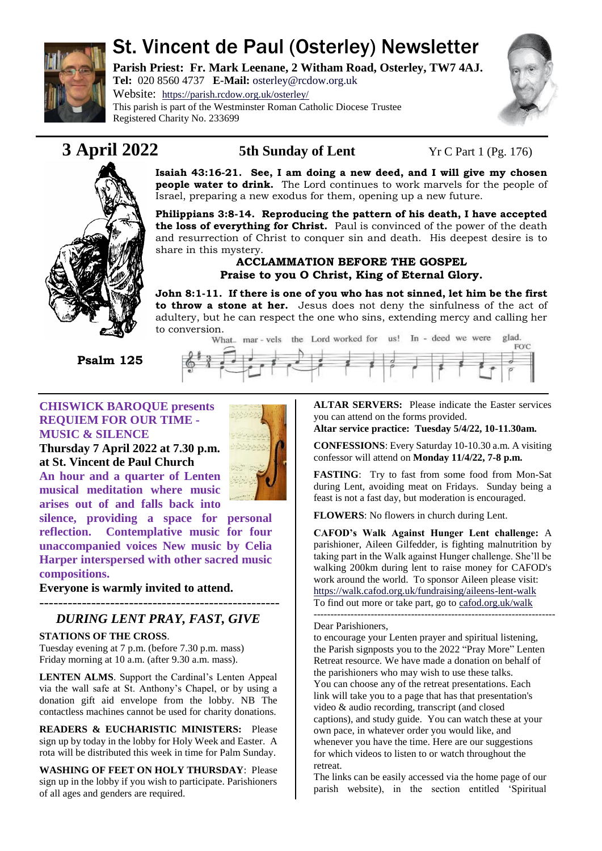

# St. Vincent de Paul (Osterley) Newsletter

**Parish Priest: Fr. Mark Leenane, 2 Witham Road, Osterley, TW7 4AJ. Tel:** 020 8560 4737 **E-Mail:** [osterley@rcdow.org.uk](mailto:osterley@rcdow.org.uk)

Website: <https://parish.rcdow.org.uk/osterley/> This parish is part of the Westminster Roman Catholic Diocese Trustee Registered Charity No. 233699





**3 April 2022 5th Sunday of Lent** Yr C Part 1 (Pg. 176)

**Isaiah 43:16-21. See, I am doing a new deed, and I will give my chosen people water to drink.** The Lord continues to work marvels for the people of Israel, preparing a new exodus for them, opening up a new future.

**Philippians 3:8-14. Reproducing the pattern of his death, I have accepted the loss of everything for Christ.** Paul is convinced of the power of the death and resurrection of Christ to conquer sin and death. His deepest desire is to share in this mystery.

### **ACCLAMMATION BEFORE THE GOSPEL Praise to you O Christ, King of Eternal Glory.**

**John 8:1-11. If there is one of you who has not sinned, let him be the first to throw a stone at her.** Jesus does not deny the sinfulness of the act of adultery, but he can respect the one who sins, extending mercy and calling her to conversion.<br>What\_ mar-vels\_the\_Lord worked for \_us! In - deed we were

 **Psalm 125** 



#### **CHISWICK BAROQUE presents REQUIEM FOR OUR TIME - MUSIC & SILENCE**

**Thursday 7 April 2022 at 7.30 p.m. at St. Vincent de Paul Church**

**An hour and a quarter of Lenten musical meditation where music arises out of and falls back into** 

**silence, providing a space for personal reflection. Contemplative music for four unaccompanied voices New music by Celia Harper interspersed with other sacred music compositions.** 

**Everyone is warmly invited to attend.**

## *DURING LENT PRAY, FAST, GIVE*

#### **STATIONS OF THE CROSS**.

---------------------------------------------------

Tuesday evening at 7 p.m. (before 7.30 p.m. mass) Friday morning at 10 a.m. (after 9.30 a.m. mass).

**LENTEN ALMS**. Support the Cardinal's Lenten Appeal via the wall safe at St. Anthony's Chapel, or by using a donation gift aid envelope from the lobby. NB The contactless machines cannot be used for charity donations.

**READERS & EUCHARISTIC MINISTERS:** Please sign up by today in the lobby for Holy Week and Easter. A rota will be distributed this week in time for Palm Sunday.

**WASHING OF FEET ON HOLY THURSDAY**: Please sign up in the lobby if you wish to participate. Parishioners of all ages and genders are required.

**ALTAR SERVERS:** Please indicate the Easter services you can attend on the forms provided.

**Altar service practice: Tuesday 5/4/22, 10-11.30am.**

**CONFESSIONS**: Every Saturday 10-10.30 a.m. A visiting confessor will attend on **Monday 11/4/22, 7-8 p.m.**

**FASTING**: Try to fast from some food from Mon-Sat during Lent, avoiding meat on Fridays. Sunday being a feast is not a fast day, but moderation is encouraged.

**FLOWERS**: No flowers in church during Lent.

**CAFOD's Walk Against Hunger Lent challenge:** A parishioner, Aileen Gilfedder, is fighting malnutrition by taking part in the Walk against Hunger challenge. She'll be walking 200km during lent to raise money for CAFOD's work around the world. To sponsor Aileen please visit: <https://walk.cafod.org.uk/fundraising/aileens-lent-walk>

To find out more or take part, go to [cafod.org.uk/walk](https://walk.cafod.org.uk/) ------------------------------------------------------------------------

#### Dear Parishioners,

to encourage your Lenten prayer and spiritual listening, the Parish signposts you to the 2022 "Pray More" Lenten Retreat resource. We have made a donation on behalf of the parishioners who may wish to use these talks. You can choose any of the retreat presentations. Each link will take you to a page that has that presentation's video & audio recording, transcript (and closed captions), and study guide. You can watch these at your own pace, in whatever order you would like, and whenever you have the time. Here are our suggestions for which videos to listen to or watch throughout the retreat.

The links can be easily accessed via the home page of our parish website), in the section entitled 'Spiritual